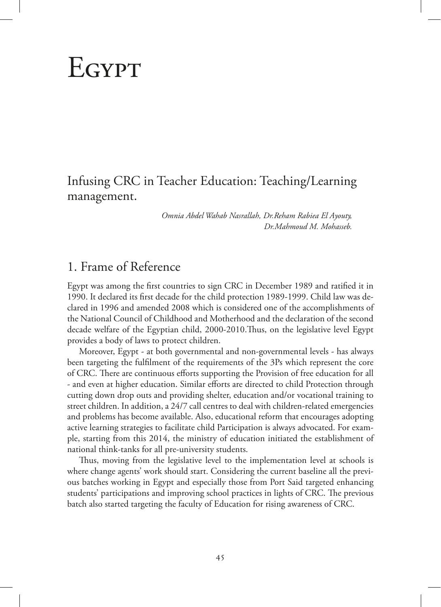# **EGYPT**

# Infusing CRC in Teacher Education: Teaching/Learning management.

*Omnia Abdel Wahab Nasrallah, Dr.Reham Rabiea El Ayouty, Dr.Mahmoud M. Mohasseb.*

# 1. Frame of Reference

Egypt was among the first countries to sign CRC in December 1989 and ratified it in 1990. It declared its first decade for the child protection 1989-1999. Child law was declared in 1996 and amended 2008 which is considered one of the accomplishments of the National Council of Childhood and Motherhood and the declaration of the second decade welfare of the Egyptian child, 2000-2010.Thus, on the legislative level Egypt provides a body of laws to protect children.

Moreover, Egypt - at both governmental and non-governmental levels - has always been targeting the fulfilment of the requirements of the 3Ps which represent the core of CRC. There are continuous efforts supporting the Provision of free education for all - and even at higher education. Similar efforts are directed to child Protection through cutting down drop outs and providing shelter, education and/or vocational training to street children. In addition, a 24/7 call centres to deal with children-related emergencies and problems has become available. Also, educational reform that encourages adopting active learning strategies to facilitate child Participation is always advocated. For example, starting from this 2014, the ministry of education initiated the establishment of national think-tanks for all pre-university students.

Thus, moving from the legislative level to the implementation level at schools is where change agents' work should start. Considering the current baseline all the previous batches working in Egypt and especially those from Port Said targeted enhancing students' participations and improving school practices in lights of CRC. The previous batch also started targeting the faculty of Education for rising awareness of CRC.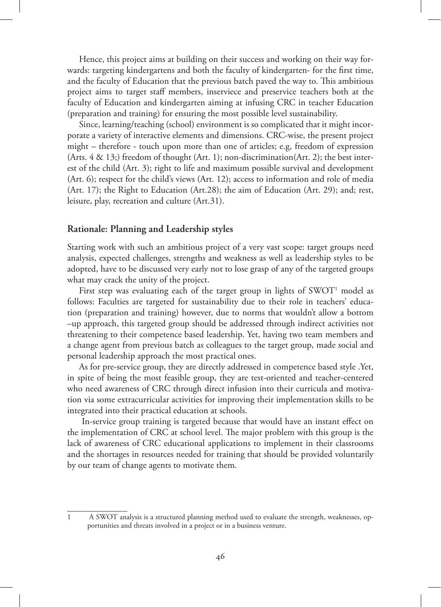Hence, this project aims at building on their success and working on their way forwards: targeting kindergartens and both the faculty of kindergarten- for the first time, and the faculty of Education that the previous batch paved the way to. This ambitious project aims to target staff members, inserviece and preservice teachers both at the faculty of Education and kindergarten aiming at infusing CRC in teacher Education (preparation and training) for ensuring the most possible level sustainability.

Since, learning/teaching (school) environment is so complicated that it might incorporate a variety of interactive elements and dimensions. CRC-wise, the present project might – therefore - touch upon more than one of articles; e.g, freedom of expression (Arts. 4 & 13;) freedom of thought (Art. 1); non-discrimination(Art. 2); the best interest of the child (Art. 3); right to life and maximum possible survival and development (Art. 6); respect for the child's views (Art. 12); access to information and role of media (Art. 17); the Right to Education (Art.28); the aim of Education (Art. 29); and; rest, leisure, play, recreation and culture (Art.31).

#### **Rationale: Planning and Leadership styles**

Starting work with such an ambitious project of a very vast scope: target groups need analysis, expected challenges, strengths and weakness as well as leadership styles to be adopted, have to be discussed very early not to lose grasp of any of the targeted groups what may crack the unity of the project.

First step was evaluating each of the target group in lights of  $\text{SWOT}^1$  model as follows: Faculties are targeted for sustainability due to their role in teachers' education (preparation and training) however, due to norms that wouldn't allow a bottom –up approach, this targeted group should be addressed through indirect activities not threatening to their competence based leadership. Yet, having two team members and a change agent from previous batch as colleagues to the target group, made social and personal leadership approach the most practical ones.

As for pre-service group, they are directly addressed in competence based style .Yet, in spite of being the most feasible group, they are test-oriented and teacher-centered who need awareness of CRC through direct infusion into their curricula and motivation via some extracurricular activities for improving their implementation skills to be integrated into their practical education at schools.

 In-service group training is targeted because that would have an instant effect on the implementation of CRC at school level. The major problem with this group is the lack of awareness of CRC educational applications to implement in their classrooms and the shortages in resources needed for training that should be provided voluntarily by our team of change agents to motivate them.

<sup>1</sup> A SWOT analysis is a structured planning method used to evaluate the strength, weaknesses, opportunities and threats involved in a project or in a business venture.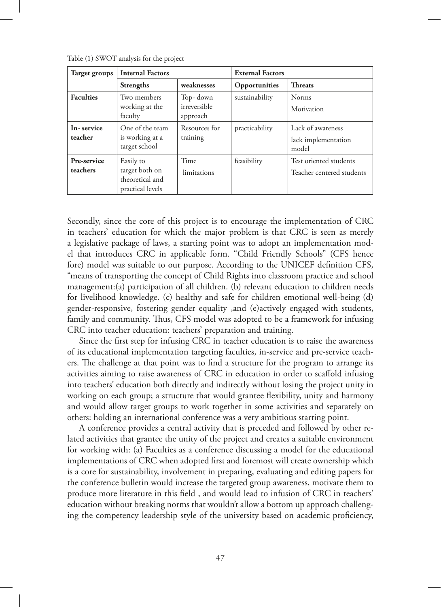| Target groups           | <b>Internal Factors</b>                                            |                                       | <b>External Factors</b> |                                                     |  |  |
|-------------------------|--------------------------------------------------------------------|---------------------------------------|-------------------------|-----------------------------------------------------|--|--|
|                         | <b>Strengths</b>                                                   | weaknesses                            | Opportunities           | <b>Threats</b>                                      |  |  |
| <b>Faculties</b>        | Two members<br>working at the<br>faculty                           | Top- down<br>irreversible<br>approach | sustainability          | Norms<br>Motivation                                 |  |  |
| In-service<br>teacher   | One of the team<br>is working at a<br>target school                | Resources for<br>training             | practicability          | Lack of awareness<br>lack implementation<br>model   |  |  |
| Pre-service<br>teachers | Easily to<br>target both on<br>theoretical and<br>practical levels | Time<br>limitations                   | feasibility             | Test oriented students<br>Teacher centered students |  |  |

Table (1) SWOT analysis for the project

Secondly, since the core of this project is to encourage the implementation of CRC in teachers' education for which the major problem is that CRC is seen as merely a legislative package of laws, a starting point was to adopt an implementation model that introduces CRC in applicable form. "Child Friendly Schools" (CFS hence fore) model was suitable to our purpose. According to the UNICEF definition CFS, "means of transporting the concept of Child Rights into classroom practice and school management:(a) participation of all children. (b) relevant education to children needs for livelihood knowledge. (c) healthy and safe for children emotional well-being (d) gender-responsive, fostering gender equality ,and (e)actively engaged with students, family and community. Thus, CFS model was adopted to be a framework for infusing CRC into teacher education: teachers' preparation and training.

Since the first step for infusing CRC in teacher education is to raise the awareness of its educational implementation targeting faculties, in-service and pre-service teachers. The challenge at that point was to find a structure for the program to arrange its activities aiming to raise awareness of CRC in education in order to scaffold infusing into teachers' education both directly and indirectly without losing the project unity in working on each group; a structure that would grantee flexibility, unity and harmony and would allow target groups to work together in some activities and separately on others: holding an international conference was a very ambitious starting point.

A conference provides a central activity that is preceded and followed by other related activities that grantee the unity of the project and creates a suitable environment for working with: (a) Faculties as a conference discussing a model for the educational implementations of CRC when adopted first and foremost will create ownership which is a core for sustainability, involvement in preparing, evaluating and editing papers for the conference bulletin would increase the targeted group awareness, motivate them to produce more literature in this field , and would lead to infusion of CRC in teachers' education without breaking norms that wouldn't allow a bottom up approach challenging the competency leadership style of the university based on academic proficiency,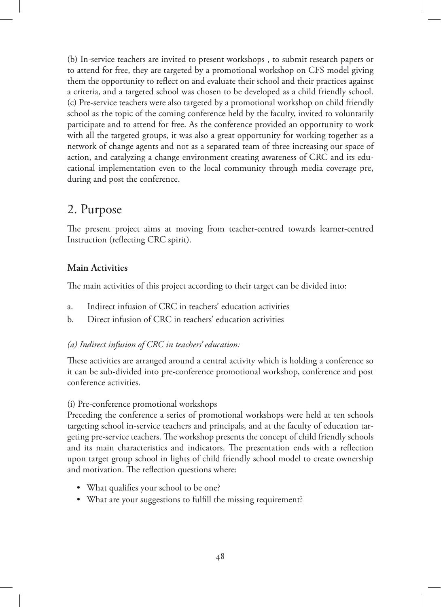(b) In-service teachers are invited to present workshops , to submit research papers or to attend for free, they are targeted by a promotional workshop on CFS model giving them the opportunity to reflect on and evaluate their school and their practices against a criteria, and a targeted school was chosen to be developed as a child friendly school. (c) Pre-service teachers were also targeted by a promotional workshop on child friendly school as the topic of the coming conference held by the faculty, invited to voluntarily participate and to attend for free. As the conference provided an opportunity to work with all the targeted groups, it was also a great opportunity for working together as a network of change agents and not as a separated team of three increasing our space of action, and catalyzing a change environment creating awareness of CRC and its educational implementation even to the local community through media coverage pre, during and post the conference.

# 2. Purpose

The present project aims at moving from teacher-centred towards learner-centred Instruction (reflecting CRC spirit).

# **Main Activities**

The main activities of this project according to their target can be divided into:

- a. Indirect infusion of CRC in teachers' education activities
- b. Direct infusion of CRC in teachers' education activities

### *(a) Indirect infusion of CRC in teachers' education:*

These activities are arranged around a central activity which is holding a conference so it can be sub-divided into pre-conference promotional workshop, conference and post conference activities.

### (i) Pre-conference promotional workshops

Preceding the conference a series of promotional workshops were held at ten schools targeting school in-service teachers and principals, and at the faculty of education targeting pre-service teachers. The workshop presents the concept of child friendly schools and its main characteristics and indicators. The presentation ends with a reflection upon target group school in lights of child friendly school model to create ownership and motivation. The reflection questions where:

- What qualifies your school to be one?
- What are your suggestions to fulfill the missing requirement?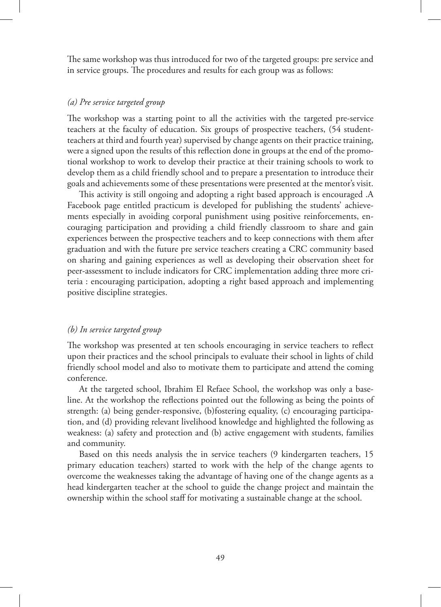The same workshop was thus introduced for two of the targeted groups: pre service and in service groups. The procedures and results for each group was as follows:

#### *(a) Pre service targeted group*

The workshop was a starting point to all the activities with the targeted pre-service teachers at the faculty of education. Six groups of prospective teachers, (54 studentteachers at third and fourth year) supervised by change agents on their practice training, were a signed upon the results of this reflection done in groups at the end of the promotional workshop to work to develop their practice at their training schools to work to develop them as a child friendly school and to prepare a presentation to introduce their goals and achievements some of these presentations were presented at the mentor's visit.

This activity is still ongoing and adopting a right based approach is encouraged .A Facebook page entitled practicum is developed for publishing the students' achievements especially in avoiding corporal punishment using positive reinforcements, encouraging participation and providing a child friendly classroom to share and gain experiences between the prospective teachers and to keep connections with them after graduation and with the future pre service teachers creating a CRC community based on sharing and gaining experiences as well as developing their observation sheet for peer-assessment to include indicators for CRC implementation adding three more criteria : encouraging participation, adopting a right based approach and implementing positive discipline strategies.

#### *(b) In service targeted group*

The workshop was presented at ten schools encouraging in service teachers to reflect upon their practices and the school principals to evaluate their school in lights of child friendly school model and also to motivate them to participate and attend the coming conference.

At the targeted school, Ibrahim El Refaee School, the workshop was only a baseline. At the workshop the reflections pointed out the following as being the points of strength: (a) being gender-responsive, (b)fostering equality, (c) encouraging participation, and (d) providing relevant livelihood knowledge and highlighted the following as weakness: (a) safety and protection and (b) active engagement with students, families and community.

Based on this needs analysis the in service teachers (9 kindergarten teachers, 15 primary education teachers) started to work with the help of the change agents to overcome the weaknesses taking the advantage of having one of the change agents as a head kindergarten teacher at the school to guide the change project and maintain the ownership within the school staff for motivating a sustainable change at the school.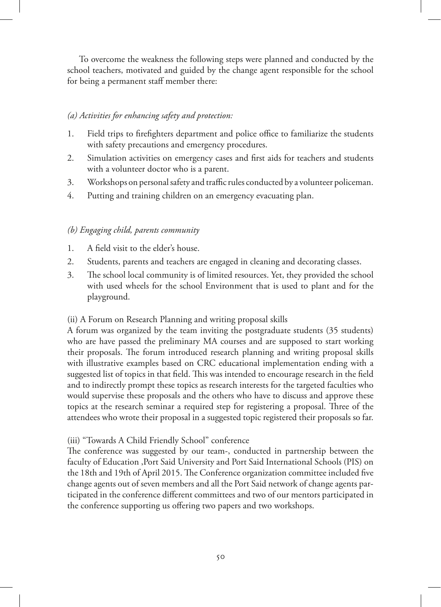To overcome the weakness the following steps were planned and conducted by the school teachers, motivated and guided by the change agent responsible for the school for being a permanent staff member there:

### *(a) Activities for enhancing safety and protection:*

- 1. Field trips to firefighters department and police office to familiarize the students with safety precautions and emergency procedures.
- 2. Simulation activities on emergency cases and first aids for teachers and students with a volunteer doctor who is a parent.
- 3. Workshops on personal safety and traffic rules conducted by a volunteer policeman.
- 4. Putting and training children on an emergency evacuating plan.

### *(b) Engaging child, parents community*

- 1. A field visit to the elder's house.
- 2. Students, parents and teachers are engaged in cleaning and decorating classes.
- 3. The school local community is of limited resources. Yet, they provided the school with used wheels for the school Environment that is used to plant and for the playground.

### (ii) A Forum on Research Planning and writing proposal skills

A forum was organized by the team inviting the postgraduate students (35 students) who are have passed the preliminary MA courses and are supposed to start working their proposals. The forum introduced research planning and writing proposal skills with illustrative examples based on CRC educational implementation ending with a suggested list of topics in that field. This was intended to encourage research in the field and to indirectly prompt these topics as research interests for the targeted faculties who would supervise these proposals and the others who have to discuss and approve these topics at the research seminar a required step for registering a proposal. Three of the attendees who wrote their proposal in a suggested topic registered their proposals so far.

### (iii) "Towards A Child Friendly School" conference

The conference was suggested by our team-, conducted in partnership between the faculty of Education ,Port Said University and Port Said International Schools (PIS) on the 18th and 19th of April 2015. The Conference organization committee included five change agents out of seven members and all the Port Said network of change agents participated in the conference different committees and two of our mentors participated in the conference supporting us offering two papers and two workshops.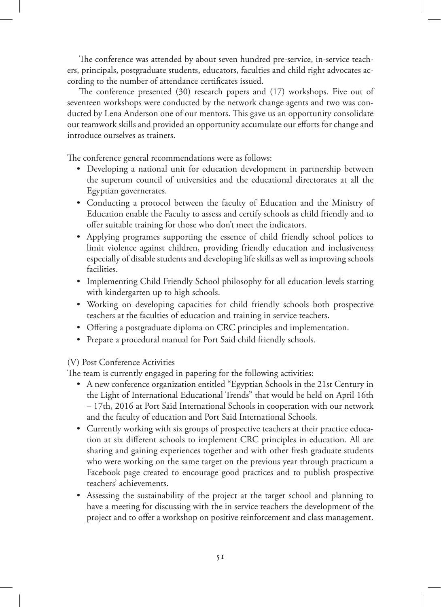The conference was attended by about seven hundred pre-service, in-service teachers, principals, postgraduate students, educators, faculties and child right advocates according to the number of attendance certificates issued.

The conference presented (30) research papers and (17) workshops. Five out of seventeen workshops were conducted by the network change agents and two was conducted by Lena Anderson one of our mentors. This gave us an opportunity consolidate our teamwork skills and provided an opportunity accumulate our efforts for change and introduce ourselves as trainers.

The conference general recommendations were as follows:

- Developing a national unit for education development in partnership between the superum council of universities and the educational directorates at all the Egyptian governerates.
- • Conducting a protocol between the faculty of Education and the Ministry of Education enable the Faculty to assess and certify schools as child friendly and to offer suitable training for those who don't meet the indicators.
- Applying programes supporting the essence of child friendly school polices to limit violence against children, providing friendly education and inclusiveness especially of disable students and developing life skills as well as improving schools facilities.
- Implementing Child Friendly School philosophy for all education levels starting with kindergarten up to high schools.
- • Working on developing capacities for child friendly schools both prospective teachers at the faculties of education and training in service teachers.
- Offering a postgraduate diploma on CRC principles and implementation.
- Prepare a procedural manual for Port Said child friendly schools.

### (V) Post Conference Activities

The team is currently engaged in papering for the following activities:

- • A new conference organization entitled "Egyptian Schools in the 21st Century in the Light of International Educational Trends" that would be held on April 16th – 17th, 2016 at Port Said International Schools in cooperation with our network and the faculty of education and Port Said International Schools.
- • Currently working with six groups of prospective teachers at their practice education at six different schools to implement CRC principles in education. All are sharing and gaining experiences together and with other fresh graduate students who were working on the same target on the previous year through practicum a Facebook page created to encourage good practices and to publish prospective teachers' achievements.
- Assessing the sustainability of the project at the target school and planning to have a meeting for discussing with the in service teachers the development of the project and to offer a workshop on positive reinforcement and class management.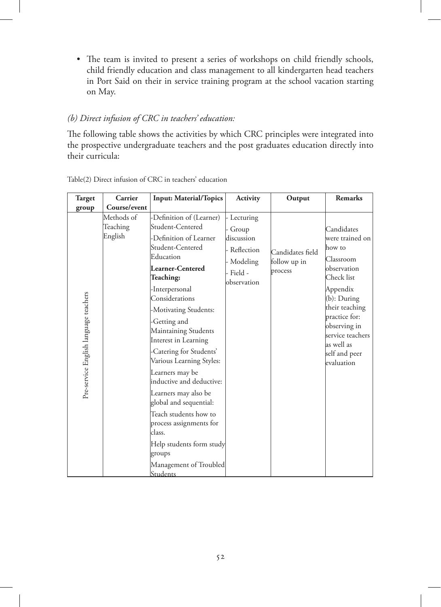• The team is invited to present a series of workshops on child friendly schools, child friendly education and class management to all kindergarten head teachers in Port Said on their in service training program at the school vacation starting on May.

#### *(b) Direct infusion of CRC in teachers' education:*

The following table shows the activities by which CRC principles were integrated into the prospective undergraduate teachers and the post graduates education directly into their curricula:

| Target                                | Carrier                           | <b>Input: Material/Topics</b>                                                                                                                                                                                                                                                                                                                                                                                                                                                                                                                                           | <b>Activity</b>                                                                      | Output                                      | <b>Remarks</b>                                                                                                                                                                                                                       |
|---------------------------------------|-----------------------------------|-------------------------------------------------------------------------------------------------------------------------------------------------------------------------------------------------------------------------------------------------------------------------------------------------------------------------------------------------------------------------------------------------------------------------------------------------------------------------------------------------------------------------------------------------------------------------|--------------------------------------------------------------------------------------|---------------------------------------------|--------------------------------------------------------------------------------------------------------------------------------------------------------------------------------------------------------------------------------------|
| group                                 | Course/event                      |                                                                                                                                                                                                                                                                                                                                                                                                                                                                                                                                                                         |                                                                                      |                                             |                                                                                                                                                                                                                                      |
| Pre-service English language teachers | Methods of<br>Teaching<br>English | -Definition of (Learner)<br>Student-Centered<br>-Definition of Learner<br>Student-Centered<br>Education<br>Learner-Centered<br>Teaching:<br>-Interpersonal<br>Considerations<br>-Motivating Students:<br>-Getting and<br>Maintaining Students<br>Interest in Learning<br>-Catering for Students'<br>Various Learning Styles:<br>Learners may be<br>inductive and deductive:<br>Learners may also be<br>global and sequential:<br>Teach students how to<br>process assignments for<br>class.<br>Help students form study<br>groups<br>Management of Troubled<br>Students | Lecturing<br>Group<br>discussion<br>Reflection<br>Modeling<br>Field -<br>observation | Candidates field<br>follow up in<br>process | Candidates<br>were trained on<br>lhow to<br>Classroom<br>observation<br>Check list<br>Appendix<br>$(b)$ : During<br>their teaching<br>practice for:<br>observing in<br>service teachers<br>as well as<br>self and peer<br>evaluation |

Table(2) Direct infusion of CRC in teachers' education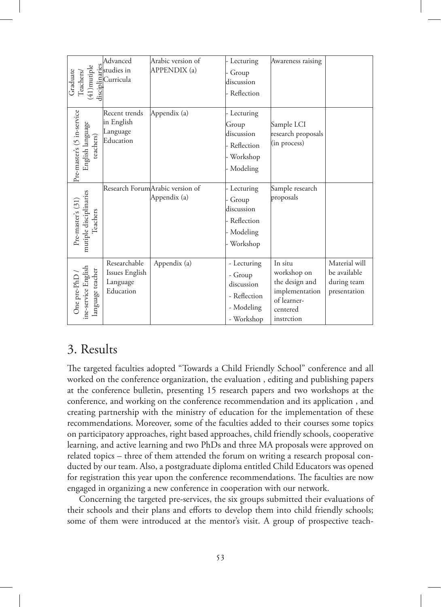| $(41)$ mutiple<br>Graduate<br>Teachers                      | Advanced<br>and<br>interface<br>interface<br>Curricula<br>digital<br>digital<br>digital<br>$\frac{1}{2}$ | Arabic version of<br><b>APPENDIX</b> (a)         | - Lecturing<br>Group<br>discussion<br>- Reflection                               | Awareness raising                                                                                   |                                                              |
|-------------------------------------------------------------|----------------------------------------------------------------------------------------------------------|--------------------------------------------------|----------------------------------------------------------------------------------|-----------------------------------------------------------------------------------------------------|--------------------------------------------------------------|
| Pre-master's (5 in-service<br>English language<br>teachers) | Recent trends<br>in English<br>Language<br>Education                                                     | Appendix (a)                                     | - Lecturing<br>Group<br>discussion<br>· Reflection<br>- Workshop<br>- Modeling   | Sample LCI<br>research proposals<br>(in process)                                                    |                                                              |
| mutiple disciplinaries<br>Pre-master's (31)<br>Teachers     |                                                                                                          | Research Forum Arabic version of<br>Appendix (a) | - Lecturing<br>Group<br>discussion<br>- Reflection<br>Modeling<br>Workshop       | Sample research<br>proposals                                                                        |                                                              |
| ine-service English<br>language teacher<br>One pre-PhD      | Researchable<br>Issues English<br>Language<br>Education                                                  | Appendix (a)                                     | - Lecturing<br>- Group<br>discussion<br>- Reflection<br>- Modeling<br>- Workshop | In situ<br>workshop on<br>the design and<br>implementation<br>of learner-<br>centered<br>instrction | Material will<br>be available<br>during team<br>presentation |

# 3. Results

The targeted faculties adopted "Towards a Child Friendly School" conference and all worked on the conference organization, the evaluation , editing and publishing papers at the conference bulletin, presenting 15 research papers and two workshops at the conference, and working on the conference recommendation and its application , and creating partnership with the ministry of education for the implementation of these recommendations. Moreover, some of the faculties added to their courses some topics on participatory approaches, right based approaches, child friendly schools, cooperative learning, and active learning and two PhDs and three MA proposals were approved on related topics – three of them attended the forum on writing a research proposal conducted by our team. Also, a postgraduate diploma entitled Child Educators was opened for registration this year upon the conference recommendations. The faculties are now engaged in organizing a new conference in cooperation with our network.

Concerning the targeted pre-services, the six groups submitted their evaluations of their schools and their plans and efforts to develop them into child friendly schools; some of them were introduced at the mentor's visit. A group of prospective teach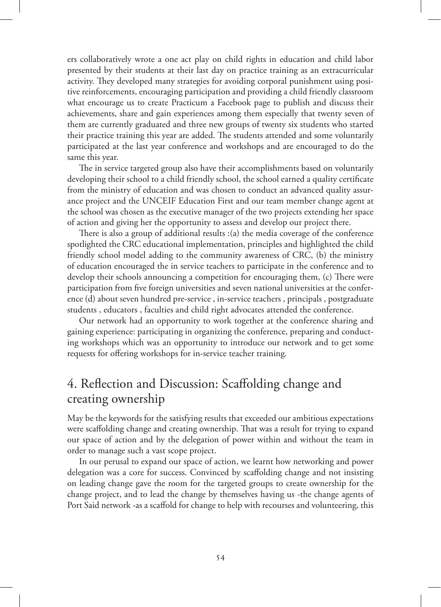ers collaboratively wrote a one act play on child rights in education and child labor presented by their students at their last day on practice training as an extracurricular activity. They developed many strategies for avoiding corporal punishment using positive reinforcements, encouraging participation and providing a child friendly classroom what encourage us to create Practicum a Facebook page to publish and discuss their achievements, share and gain experiences among them especially that twenty seven of them are currently graduated and three new groups of twenty six students who started their practice training this year are added. The students attended and some voluntarily participated at the last year conference and workshops and are encouraged to do the same this year.

The in service targeted group also have their accomplishments based on voluntarily developing their school to a child friendly school, the school earned a quality certificate from the ministry of education and was chosen to conduct an advanced quality assurance project and the UNCEIF Education First and our team member change agent at the school was chosen as the executive manager of the two projects extending her space of action and giving her the opportunity to assess and develop our project there.

There is also a group of additional results :(a) the media coverage of the conference spotlighted the CRC educational implementation, principles and highlighted the child friendly school model adding to the community awareness of CRC, (b) the ministry of education encouraged the in service teachers to participate in the conference and to develop their schools announcing a competition for encouraging them, (c) There were participation from five foreign universities and seven national universities at the conference (d) about seven hundred pre-service , in-service teachers , principals , postgraduate students , educators , faculties and child right advocates attended the conference.

Our network had an opportunity to work together at the conference sharing and gaining experience: participating in organizing the conference, preparing and conducting workshops which was an opportunity to introduce our network and to get some requests for offering workshops for in-service teacher training.

# 4. Reflection and Discussion: Scaffolding change and creating ownership

May be the keywords for the satisfying results that exceeded our ambitious expectations were scaffolding change and creating ownership. That was a result for trying to expand our space of action and by the delegation of power within and without the team in order to manage such a vast scope project.

In our perusal to expand our space of action, we learnt how networking and power delegation was a core for success. Convinced by scaffolding change and not insisting on leading change gave the room for the targeted groups to create ownership for the change project, and to lead the change by themselves having us -the change agents of Port Said network -as a scaffold for change to help with recourses and volunteering, this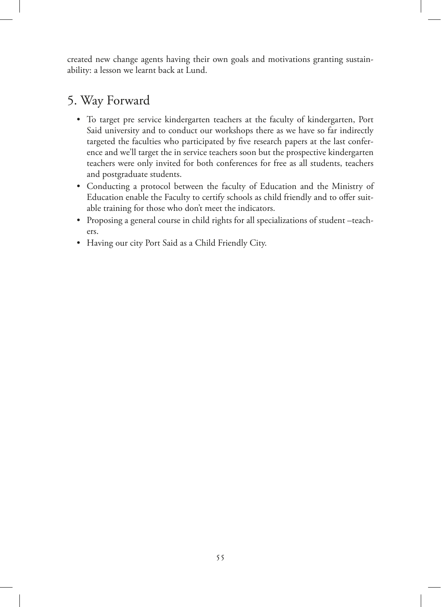created new change agents having their own goals and motivations granting sustainability: a lesson we learnt back at Lund.

# 5. Way Forward

- • To target pre service kindergarten teachers at the faculty of kindergarten, Port Said university and to conduct our workshops there as we have so far indirectly targeted the faculties who participated by five research papers at the last conference and we'll target the in service teachers soon but the prospective kindergarten teachers were only invited for both conferences for free as all students, teachers and postgraduate students.
- • Conducting a protocol between the faculty of Education and the Ministry of Education enable the Faculty to certify schools as child friendly and to offer suitable training for those who don't meet the indicators.
- Proposing a general course in child rights for all specializations of student –teachers.
- • Having our city Port Said as a Child Friendly City.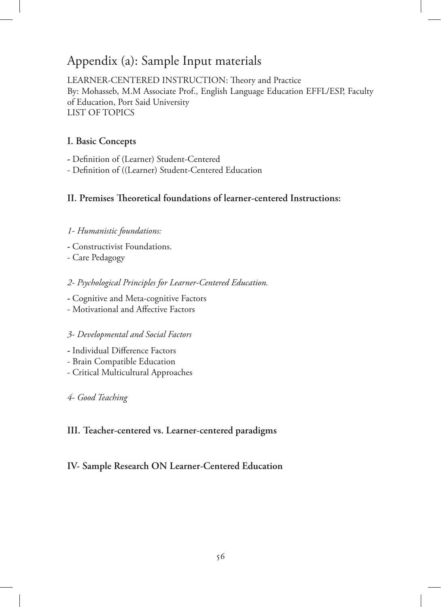# Appendix (a): Sample Input materials

LEARNER-CENTERED INSTRUCTION: Theory and Practice By: Mohasseb, M.M Associate Prof., English Language Education EFFL/ESP, Faculty of Education, Port Said University LIST OF TOPICS

### **I. Basic Concepts**

**-** Definition of (Learner) Student-Centered

- Definition of ((Learner) Student-Centered Education

# **II. Premises Theoretical foundations of learner-centered Instructions:**

### *1- Humanistic foundations:*

- Constructivist Foundations.
- Care Pedagogy

### *2- Psychological Principles for Learner-Centered Education.*

- Cognitive and Meta-cognitive Factors
- Motivational and Affective Factors

### *3- Developmental and Social Factors*

- Individual Difference Factors
- Brain Compatible Education
- Critical Multicultural Approaches

### *4- Good Teaching*

### **III. Teacher-centered vs. Learner-centered paradigms**

### **IV- Sample Research ON Learner-Centered Education**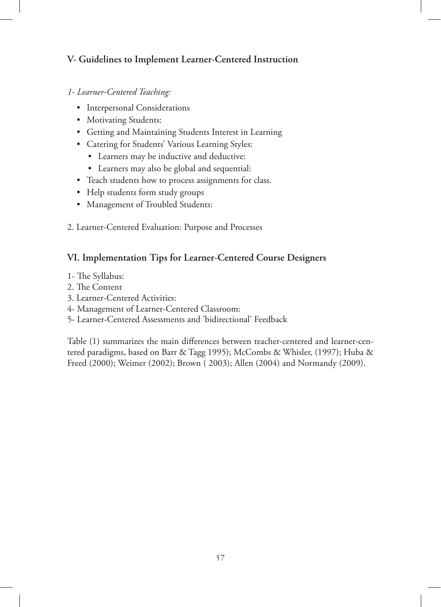# **V- Guidelines to Implement Learner-Centered Instruction**

### *1- Learner-Centered Teaching:*

- Interpersonal Considerations
- Motivating Students:
- Getting and Maintaining Students Interest in Learning
- • Catering for Students' Various Learning Styles:
	- • Learners may be inductive and deductive:
	- • Learners may also be global and sequential:
- Teach students how to process assignments for class.
- • Help students form study groups
- • Management of Troubled Students:
- 2. Learner-Centered Evaluation: Purpose and Processes

# **VI. Implementation Tips for Learner-Centered Course Designers**

- 1- The Syllabus:
- 2. The Content
- 3. Learner-Centered Activities:
- 4- Management of Learner-Centered Classroom:
- 5- Learner-Centered Assessments and 'bidirectional' Feedback

Table (1) summarizes the main differences between teacher-centered and learner-centered paradigms, based on Barr & Tagg 1995); McCombs & Whisler, (1997); Huba & Freed (2000); Weimer (2002); Brown ( 2003); Allen (2004) and Normandy (2009).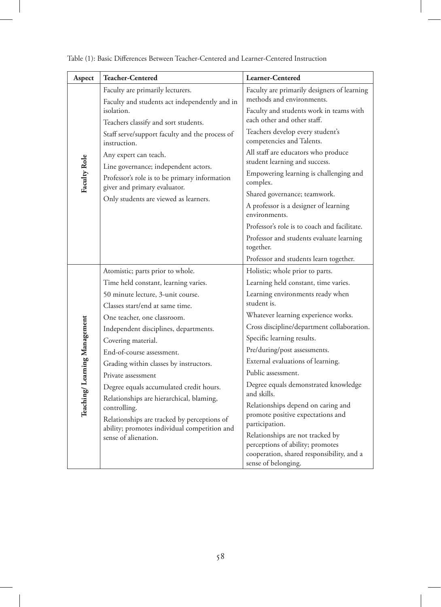| Aspect                       | <b>Teacher-Centered</b>                                                             | Learner-Centered                                                     |
|------------------------------|-------------------------------------------------------------------------------------|----------------------------------------------------------------------|
|                              | Faculty are primarily lecturers.                                                    | Faculty are primarily designers of learning                          |
|                              | Faculty and students act independently and in<br>isolation.                         | methods and environments.<br>Faculty and students work in teams with |
|                              | Teachers classify and sort students.                                                | each other and other staff.                                          |
|                              | Staff serve/support faculty and the process of<br>instruction.                      | Teachers develop every student's<br>competencies and Talents.        |
|                              | Any expert can teach.                                                               | All staff are educators who produce                                  |
|                              | Line governance; independent actors.                                                | student learning and success.                                        |
| Faculty Role                 | Professor's role is to be primary information<br>giver and primary evaluator.       | Empowering learning is challenging and<br>complex.                   |
|                              | Only students are viewed as learners.                                               | Shared governance; teamwork.                                         |
|                              |                                                                                     | A professor is a designer of learning<br>environments.               |
|                              |                                                                                     | Professor's role is to coach and facilitate.                         |
|                              |                                                                                     | Professor and students evaluate learning<br>together.                |
|                              |                                                                                     | Professor and students learn together.                               |
|                              | Atomistic; parts prior to whole.                                                    | Holistic; whole prior to parts.                                      |
|                              | Time held constant, learning varies.                                                | Learning held constant, time varies.                                 |
|                              | 50 minute lecture, 3-unit course.                                                   | Learning environments ready when                                     |
|                              | Classes start/end at same time.                                                     | student is.                                                          |
|                              | One teacher, one classroom.                                                         | Whatever learning experience works.                                  |
|                              | Independent disciplines, departments.                                               | Cross discipline/department collaboration.                           |
|                              | Covering material.                                                                  | Specific learning results.                                           |
|                              | End-of-course assessment.                                                           | Pre/during/post assessments.                                         |
|                              | Grading within classes by instructors.                                              | External evaluations of learning.                                    |
|                              | Private assessment                                                                  | Public assessment.                                                   |
| Teaching/Learning Management | Degree equals accumulated credit hours.<br>Relationships are hierarchical, blaming, | Degree equals demonstrated knowledge<br>and skills.                  |
|                              | controlling.                                                                        | Relationships depend on caring and                                   |
|                              | Relationships are tracked by perceptions of                                         | promote positive expectations and<br>participation.                  |
|                              | ability; promotes individual competition and                                        | Relationships are not tracked by                                     |
|                              | sense of alienation.                                                                | perceptions of ability; promotes                                     |
|                              |                                                                                     | cooperation, shared responsibility, and a<br>sense of belonging.     |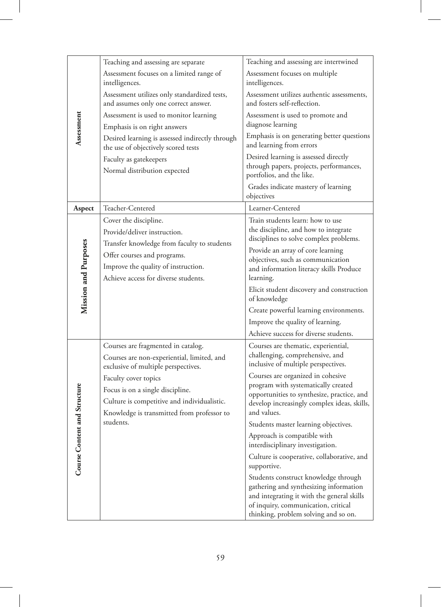|                              | Teaching and assessing are separate                                                                                     | Teaching and assessing are intertwined                                                                                                                                                                      |
|------------------------------|-------------------------------------------------------------------------------------------------------------------------|-------------------------------------------------------------------------------------------------------------------------------------------------------------------------------------------------------------|
|                              | Assessment focuses on a limited range of<br>intelligences.                                                              | Assessment focuses on multiple<br>intelligences.                                                                                                                                                            |
|                              | Assessment utilizes only standardized tests,<br>and assumes only one correct answer.                                    | Assessment utilizes authentic assessments,<br>and fosters self-reflection.                                                                                                                                  |
| Assessment                   | Assessment is used to monitor learning<br>Emphasis is on right answers                                                  | Assessment is used to promote and<br>diagnose learning                                                                                                                                                      |
|                              | Desired learning is assessed indirectly through<br>the use of objectively scored tests                                  | Emphasis is on generating better questions<br>and learning from errors                                                                                                                                      |
|                              | Faculty as gatekeepers<br>Normal distribution expected                                                                  | Desired learning is assessed directly<br>through papers, projects, performances,<br>portfolios, and the like.                                                                                               |
|                              |                                                                                                                         | Grades indicate mastery of learning<br>objectives                                                                                                                                                           |
| Aspect                       | Teacher-Centered                                                                                                        | Learner-Centered                                                                                                                                                                                            |
|                              | Cover the discipline.<br>Provide/deliver instruction.<br>Transfer knowledge from faculty to students                    | Train students learn: how to use<br>the discipline, and how to integrate<br>disciplines to solve complex problems.                                                                                          |
| Mission and Purposes         | Offer courses and programs.<br>Improve the quality of instruction.<br>Achieve access for diverse students.              | Provide an array of core learning<br>objectives, such as communication<br>and information literacy skills Produce<br>learning.                                                                              |
|                              |                                                                                                                         | Elicit student discovery and construction<br>of knowledge                                                                                                                                                   |
|                              |                                                                                                                         | Create powerful learning environments.                                                                                                                                                                      |
|                              |                                                                                                                         | Improve the quality of learning.                                                                                                                                                                            |
|                              |                                                                                                                         | Achieve success for diverse students.                                                                                                                                                                       |
|                              | Courses are fragmented in catalog.<br>Courses are non-experiential, limited, and<br>exclusive of multiple perspectives. | Courses are thematic, experiential,<br>challenging, comprehensive, and<br>inclusive of multiple perspectives.                                                                                               |
|                              | Faculty cover topics                                                                                                    | Courses are organized in cohesive                                                                                                                                                                           |
|                              | Focus is on a single discipline.                                                                                        | program with systematically created<br>opportunities to synthesize, practice, and                                                                                                                           |
|                              | Culture is competitive and individualistic.                                                                             | develop increasingly complex ideas, skills,                                                                                                                                                                 |
|                              | Knowledge is transmitted from professor to<br>students.                                                                 | and values.                                                                                                                                                                                                 |
|                              |                                                                                                                         | Students master learning objectives.<br>Approach is compatible with                                                                                                                                         |
|                              |                                                                                                                         | interdisciplinary investigation.                                                                                                                                                                            |
| Course Content and Structure |                                                                                                                         | Culture is cooperative, collaborative, and<br>supportive.                                                                                                                                                   |
|                              |                                                                                                                         | Students construct knowledge through<br>gathering and synthesizing information<br>and integrating it with the general skills<br>of inquiry, communication, critical<br>thinking, problem solving and so on. |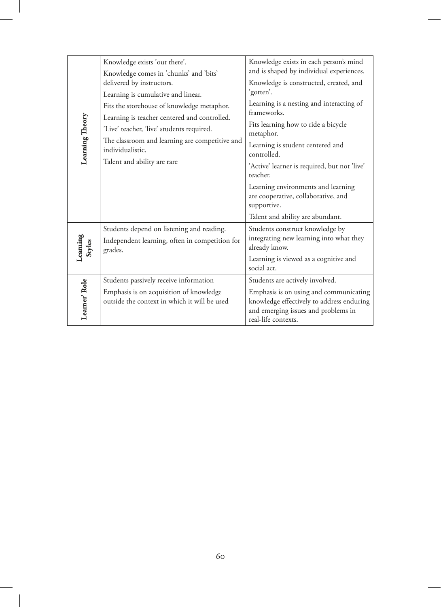|                                                                                                                                                            | Knowledge exists 'out there'.<br>Knowledge comes in 'chunks' and 'bits'                                | Knowledge exists in each person's mind<br>and is shaped by individual experiences.                                                                |  |  |
|------------------------------------------------------------------------------------------------------------------------------------------------------------|--------------------------------------------------------------------------------------------------------|---------------------------------------------------------------------------------------------------------------------------------------------------|--|--|
|                                                                                                                                                            | delivered by instructors.<br>Learning is cumulative and linear.                                        | Knowledge is constructed, created, and<br>'gotten'.                                                                                               |  |  |
| Fits the storehouse of knowledge metaphor.<br>Learning Theory<br>Learning is teacher centered and controlled.<br>'Live' teacher, 'live' students required. |                                                                                                        | Learning is a nesting and interacting of<br>frameworks.                                                                                           |  |  |
|                                                                                                                                                            | Fits learning how to ride a bicycle<br>metaphor.                                                       |                                                                                                                                                   |  |  |
| The classroom and learning are competitive and<br>individualistic.                                                                                         |                                                                                                        | Learning is student centered and<br>controlled.                                                                                                   |  |  |
| Talent and ability are rare                                                                                                                                | 'Active' learner is required, but not 'live'<br>teacher.                                               |                                                                                                                                                   |  |  |
|                                                                                                                                                            |                                                                                                        | Learning environments and learning<br>are cooperative, collaborative, and<br>supportive.                                                          |  |  |
|                                                                                                                                                            |                                                                                                        | Talent and ability are abundant.                                                                                                                  |  |  |
| Learning<br>Styles                                                                                                                                         | Students depend on listening and reading.<br>Independent learning, often in competition for<br>grades. | Students construct knowledge by<br>integrating new learning into what they<br>already know.                                                       |  |  |
|                                                                                                                                                            |                                                                                                        | Learning is viewed as a cognitive and<br>social act.                                                                                              |  |  |
|                                                                                                                                                            | Students passively receive information                                                                 | Students are actively involved.                                                                                                                   |  |  |
| Learner' Role                                                                                                                                              | Emphasis is on acquisition of knowledge<br>outside the context in which it will be used                | Emphasis is on using and communicating<br>knowledge effectively to address enduring<br>and emerging issues and problems in<br>real-life contexts. |  |  |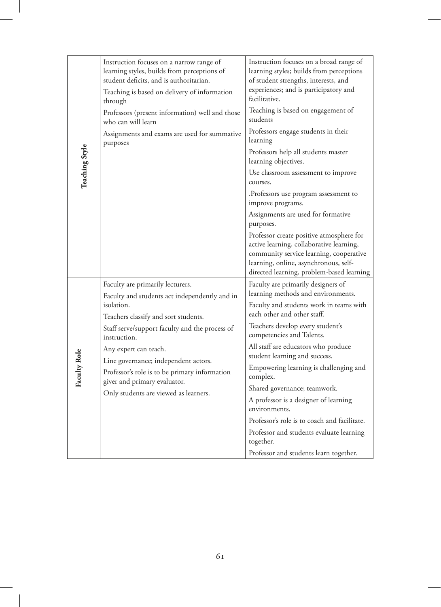| Teaching Style | Instruction focuses on a narrow range of<br>learning styles, builds from perceptions of<br>student deficits, and is authoritarian.<br>Teaching is based on delivery of information<br>through<br>Professors (present information) well and those<br>who can will learn<br>Assignments and exams are used for summative<br>purposes                                                                   | Instruction focuses on a broad range of<br>learning styles; builds from perceptions<br>of student strengths, interests, and<br>experiences; and is participatory and<br>facilitative.<br>Teaching is based on engagement of<br>students<br>Professors engage students in their<br>learning<br>Professors help all students master<br>learning objectives.<br>Use classroom assessment to improve<br>courses.<br>.Professors use program assessment to<br>improve programs.<br>Assignments are used for formative<br>purposes.<br>Professor create positive atmosphere for<br>active learning, collaborative learning, |
|----------------|------------------------------------------------------------------------------------------------------------------------------------------------------------------------------------------------------------------------------------------------------------------------------------------------------------------------------------------------------------------------------------------------------|-----------------------------------------------------------------------------------------------------------------------------------------------------------------------------------------------------------------------------------------------------------------------------------------------------------------------------------------------------------------------------------------------------------------------------------------------------------------------------------------------------------------------------------------------------------------------------------------------------------------------|
|                |                                                                                                                                                                                                                                                                                                                                                                                                      | community service learning, cooperative<br>learning, online, asynchronous, self-<br>directed learning, problem-based learning                                                                                                                                                                                                                                                                                                                                                                                                                                                                                         |
| Faculty Role   | Faculty are primarily lecturers.<br>Faculty and students act independently and in<br>isolation.<br>Teachers classify and sort students.<br>Staff serve/support faculty and the process of<br>instruction.<br>Any expert can teach.<br>Line governance; independent actors.<br>Professor's role is to be primary information<br>giver and primary evaluator.<br>Only students are viewed as learners. | Faculty are primarily designers of<br>learning methods and environments.<br>Faculty and students work in teams with<br>each other and other staff.<br>Teachers develop every student's<br>competencies and Talents.<br>All staff are educators who produce<br>student learning and success.<br>Empowering learning is challenging and<br>complex.<br>Shared governance; teamwork.<br>A professor is a designer of learning<br>environments.<br>Professor's role is to coach and facilitate.<br>Professor and students evaluate learning<br>together.<br>Professor and students learn together.                        |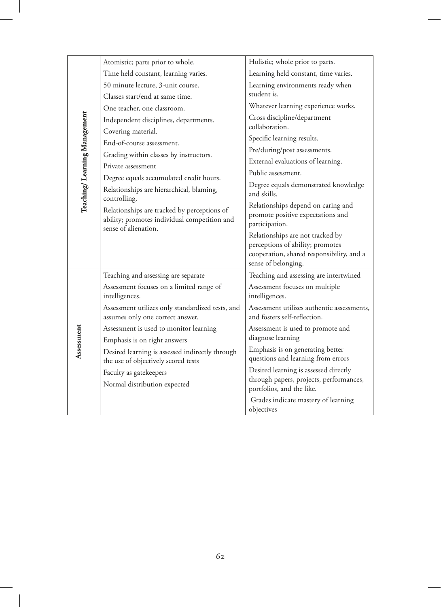| Atomistic; parts prior to whole.<br>Holistic; whole prior to parts.<br>Time held constant, learning varies.<br>Learning held constant, time varies.<br>50 minute lecture, 3-unit course.<br>Learning environments ready when<br>student is.<br>Classes start/end at same time.<br>Whatever learning experience works.<br>One teacher, one classroom.<br>Teaching/ Learning Management<br>Cross discipline/department<br>Independent disciplines, departments.<br>collaboration.<br>Covering material.<br>Specific learning results.<br>End-of-course assessment.<br>Pre/during/post assessments.<br>Grading within classes by instructors.<br>External evaluations of learning.<br>Private assessment<br>Public assessment.<br>Degree equals accumulated credit hours.<br>Degree equals demonstrated knowledge |  |
|----------------------------------------------------------------------------------------------------------------------------------------------------------------------------------------------------------------------------------------------------------------------------------------------------------------------------------------------------------------------------------------------------------------------------------------------------------------------------------------------------------------------------------------------------------------------------------------------------------------------------------------------------------------------------------------------------------------------------------------------------------------------------------------------------------------|--|
|                                                                                                                                                                                                                                                                                                                                                                                                                                                                                                                                                                                                                                                                                                                                                                                                                |  |
|                                                                                                                                                                                                                                                                                                                                                                                                                                                                                                                                                                                                                                                                                                                                                                                                                |  |
|                                                                                                                                                                                                                                                                                                                                                                                                                                                                                                                                                                                                                                                                                                                                                                                                                |  |
|                                                                                                                                                                                                                                                                                                                                                                                                                                                                                                                                                                                                                                                                                                                                                                                                                |  |
|                                                                                                                                                                                                                                                                                                                                                                                                                                                                                                                                                                                                                                                                                                                                                                                                                |  |
|                                                                                                                                                                                                                                                                                                                                                                                                                                                                                                                                                                                                                                                                                                                                                                                                                |  |
|                                                                                                                                                                                                                                                                                                                                                                                                                                                                                                                                                                                                                                                                                                                                                                                                                |  |
|                                                                                                                                                                                                                                                                                                                                                                                                                                                                                                                                                                                                                                                                                                                                                                                                                |  |
|                                                                                                                                                                                                                                                                                                                                                                                                                                                                                                                                                                                                                                                                                                                                                                                                                |  |
|                                                                                                                                                                                                                                                                                                                                                                                                                                                                                                                                                                                                                                                                                                                                                                                                                |  |
| Relationships are hierarchical, blaming,<br>and skills.<br>controlling.                                                                                                                                                                                                                                                                                                                                                                                                                                                                                                                                                                                                                                                                                                                                        |  |
| Relationships depend on caring and<br>Relationships are tracked by perceptions of<br>promote positive expectations and<br>ability; promotes individual competition and<br>participation.<br>sense of alienation.                                                                                                                                                                                                                                                                                                                                                                                                                                                                                                                                                                                               |  |
| Relationships are not tracked by<br>perceptions of ability; promotes<br>cooperation, shared responsibility, and a<br>sense of belonging.                                                                                                                                                                                                                                                                                                                                                                                                                                                                                                                                                                                                                                                                       |  |
| Teaching and assessing are intertwined<br>Teaching and assessing are separate                                                                                                                                                                                                                                                                                                                                                                                                                                                                                                                                                                                                                                                                                                                                  |  |
| Assessment focuses on a limited range of<br>Assessment focuses on multiple<br>intelligences.<br>intelligences.                                                                                                                                                                                                                                                                                                                                                                                                                                                                                                                                                                                                                                                                                                 |  |
| Assessment utilizes only standardized tests, and<br>Assessment utilizes authentic assessments,<br>and fosters self-reflection.<br>assumes only one correct answer.                                                                                                                                                                                                                                                                                                                                                                                                                                                                                                                                                                                                                                             |  |
| Assessment is used to monitor learning<br>Assessment is used to promote and                                                                                                                                                                                                                                                                                                                                                                                                                                                                                                                                                                                                                                                                                                                                    |  |
| Assessment<br>diagnose learning<br>Emphasis is on right answers                                                                                                                                                                                                                                                                                                                                                                                                                                                                                                                                                                                                                                                                                                                                                |  |
| Emphasis is on generating better<br>Desired learning is assessed indirectly through<br>questions and learning from errors<br>the use of objectively scored tests                                                                                                                                                                                                                                                                                                                                                                                                                                                                                                                                                                                                                                               |  |
| Desired learning is assessed directly<br>Faculty as gatekeepers                                                                                                                                                                                                                                                                                                                                                                                                                                                                                                                                                                                                                                                                                                                                                |  |
| through papers, projects, performances,<br>Normal distribution expected<br>portfolios, and the like.                                                                                                                                                                                                                                                                                                                                                                                                                                                                                                                                                                                                                                                                                                           |  |
| Grades indicate mastery of learning<br>objectives                                                                                                                                                                                                                                                                                                                                                                                                                                                                                                                                                                                                                                                                                                                                                              |  |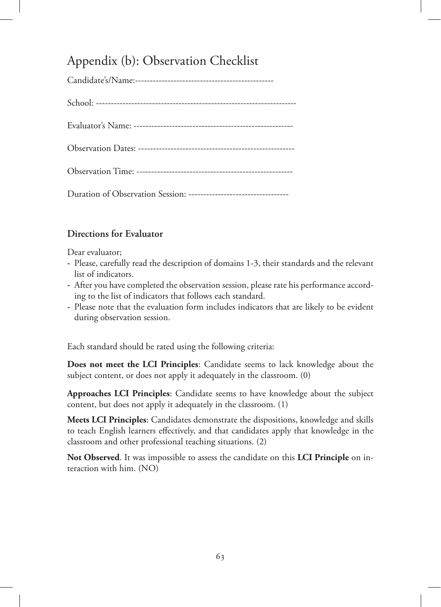# Appendix (b): Observation Checklist

### **Directions for Evaluator**

Dear evaluator;

- Please, carefully read the description of domains 1-3, their standards and the relevant list of indicators.
- After you have completed the observation session, please rate his performance according to the list of indicators that follows each standard.
- Please note that the evaluation form includes indicators that are likely to be evident during observation session.

Each standard should be rated using the following criteria:

**Does not meet the LCI Principles**: Candidate seems to lack knowledge about the subject content, or does not apply it adequately in the classroom. (0)

**Approaches LCI Principles**: Candidate seems to have knowledge about the subject content, but does not apply it adequately in the classroom. (1)

**Meets LCI Principles**: Candidates demonstrate the dispositions, knowledge and skills to teach English learners effectively, and that candidates apply that knowledge in the classroom and other professional teaching situations. (2)

**Not Observed**. It was impossible to assess the candidate on this **LCI Principle** on interaction with him. (NO)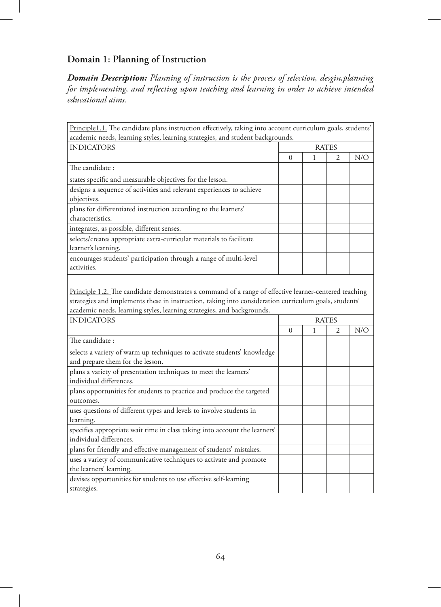# **Domain 1: Planning of Instruction**

strategies.

*Domain Description: Planning of instruction is the process of selection, desgin,planning for implementing, and reflecting upon teaching and learning in order to achieve intended educational aims.* 

| Principle1.1. The candidate plans instruction effectively, taking into account curriculum goals, students'<br>academic needs, learning styles, learning strategies, and student backgrounds.                                                                                                                  |   |   |              |     |
|---------------------------------------------------------------------------------------------------------------------------------------------------------------------------------------------------------------------------------------------------------------------------------------------------------------|---|---|--------------|-----|
| <b>INDICATORS</b>                                                                                                                                                                                                                                                                                             |   |   | <b>RATES</b> |     |
|                                                                                                                                                                                                                                                                                                               | 0 | 1 | 2            | N/O |
| The candidate:                                                                                                                                                                                                                                                                                                |   |   |              |     |
| states specific and measurable objectives for the lesson.                                                                                                                                                                                                                                                     |   |   |              |     |
| designs a sequence of activities and relevant experiences to achieve<br>objectives.                                                                                                                                                                                                                           |   |   |              |     |
| plans for differentiated instruction according to the learners'<br>characteristics.                                                                                                                                                                                                                           |   |   |              |     |
| integrates, as possible, different senses.                                                                                                                                                                                                                                                                    |   |   |              |     |
| selects/creates appropriate extra-curricular materials to facilitate<br>learner's learning.                                                                                                                                                                                                                   |   |   |              |     |
| encourages students' participation through a range of multi-level<br>activities.                                                                                                                                                                                                                              |   |   |              |     |
| Principle 1.2. The candidate demonstrates a command of a range of effective learner-centered teaching<br>strategies and implements these in instruction, taking into consideration curriculum goals, students'<br>academic needs, learning styles, learning strategies, and backgrounds.<br><b>INDICATORS</b> |   |   | <b>RATES</b> |     |
|                                                                                                                                                                                                                                                                                                               | 0 | 1 | 2            | N/O |
| The candidate :                                                                                                                                                                                                                                                                                               |   |   |              |     |
| selects a variety of warm up techniques to activate students' knowledge<br>and prepare them for the lesson.                                                                                                                                                                                                   |   |   |              |     |
| plans a variety of presentation techniques to meet the learners'<br>individual differences.                                                                                                                                                                                                                   |   |   |              |     |
| plans opportunities for students to practice and produce the targeted<br>outcomes.                                                                                                                                                                                                                            |   |   |              |     |
| uses questions of different types and levels to involve students in<br>learning.                                                                                                                                                                                                                              |   |   |              |     |
| specifies appropriate wait time in class taking into account the learners'<br>individual differences.                                                                                                                                                                                                         |   |   |              |     |
| plans for friendly and effective management of students' mistakes.                                                                                                                                                                                                                                            |   |   |              |     |
| uses a variety of communicative techniques to activate and promote<br>the learners' learning.                                                                                                                                                                                                                 |   |   |              |     |
| devises opportunities for students to use effective self-learning                                                                                                                                                                                                                                             |   |   |              |     |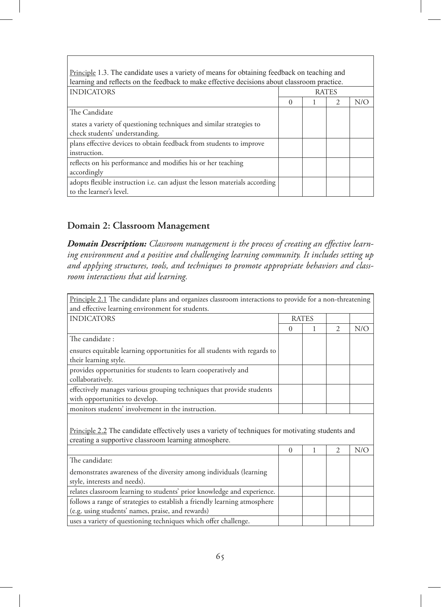| Principle 1.3. The candidate uses a variety of means for obtaining feedback on teaching and |              |  |               |     |  |  |
|---------------------------------------------------------------------------------------------|--------------|--|---------------|-----|--|--|
| learning and reflects on the feedback to make effective decisions about classroom practice. |              |  |               |     |  |  |
| <b>INDICATORS</b>                                                                           | <b>RATES</b> |  |               |     |  |  |
|                                                                                             | 0            |  | $\mathcal{P}$ | N/O |  |  |
| The Candidate                                                                               |              |  |               |     |  |  |
| states a variety of questioning techniques and similar strategies to                        |              |  |               |     |  |  |
| check students' understanding.                                                              |              |  |               |     |  |  |
| plans effective devices to obtain feedback from students to improve                         |              |  |               |     |  |  |
| instruction.                                                                                |              |  |               |     |  |  |
| reflects on his performance and modifies his or her teaching                                |              |  |               |     |  |  |
| accordingly                                                                                 |              |  |               |     |  |  |
| adopts flexible instruction i.e. can adjust the lesson materials according                  |              |  |               |     |  |  |
| to the learner's level.                                                                     |              |  |               |     |  |  |

#### **Domain 2: Classroom Management**

*Domain Description: Classroom management is the process of creating an effective learning environment and a positive and challenging learning community. It includes setting up and applying structures, tools, and techniques to promote appropriate behaviors and classroom interactions that aid learning.*

| Principle 2.1 The candidate plans and organizes classroom interactions to provide for a non-threatening                                                  |              |   |                |     |  |
|----------------------------------------------------------------------------------------------------------------------------------------------------------|--------------|---|----------------|-----|--|
| and effective learning environment for students.                                                                                                         |              |   |                |     |  |
| <b>INDICATORS</b>                                                                                                                                        | <b>RATES</b> |   |                |     |  |
|                                                                                                                                                          | $\Omega$     | 1 | $\overline{2}$ | N/O |  |
| The candidate:                                                                                                                                           |              |   |                |     |  |
| ensures equitable learning opportunities for all students with regards to<br>their learning style.                                                       |              |   |                |     |  |
| provides opportunities for students to learn cooperatively and<br>collaboratively.                                                                       |              |   |                |     |  |
| effectively manages various grouping techniques that provide students<br>with opportunities to develop.                                                  |              |   |                |     |  |
| monitors students' involvement in the instruction.                                                                                                       |              |   |                |     |  |
| Principle 2.2 The candidate effectively uses a variety of techniques for motivating students and<br>creating a supportive classroom learning atmosphere. |              |   |                |     |  |
|                                                                                                                                                          | $\Omega$     | 1 | $\mathfrak{D}$ | N/O |  |
| The candidate:                                                                                                                                           |              |   |                |     |  |
| demonstrates awareness of the diversity among individuals (learning<br>style, interests and needs).                                                      |              |   |                |     |  |
| relates classroom learning to students' prior knowledge and experience.                                                                                  |              |   |                |     |  |
| follows a range of strategies to establish a friendly learning atmosphere<br>(e.g. using students' names, praise, and rewards)                           |              |   |                |     |  |
| uses a variety of questioning techniques which offer challenge.                                                                                          |              |   |                |     |  |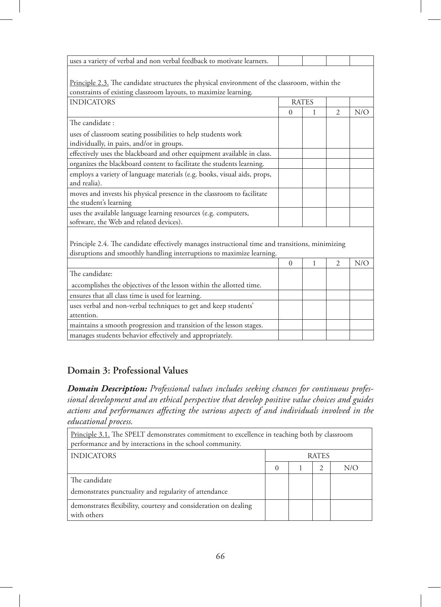| uses a variety of verbal and non verbal feedback to motivate learners.                          |              |   |                |     |
|-------------------------------------------------------------------------------------------------|--------------|---|----------------|-----|
|                                                                                                 |              |   |                |     |
| Principle 2.3. The candidate structures the physical environment of the classroom, within the   |              |   |                |     |
| constraints of existing classroom layouts, to maximize learning.                                |              |   |                |     |
| <b>INDICATORS</b>                                                                               | <b>RATES</b> |   |                |     |
|                                                                                                 | $\theta$     | 1 | $\overline{c}$ | N/O |
| The candidate:                                                                                  |              |   |                |     |
| uses of classroom seating possibilities to help students work                                   |              |   |                |     |
| individually, in pairs, and/or in groups.                                                       |              |   |                |     |
| effectively uses the blackboard and other equipment available in class.                         |              |   |                |     |
| organizes the blackboard content to facilitate the students learning.                           |              |   |                |     |
| employs a variety of language materials (e.g. books, visual aids, props,                        |              |   |                |     |
| and realia).                                                                                    |              |   |                |     |
| moves and invests his physical presence in the classroom to facilitate                          |              |   |                |     |
| the student's learning                                                                          |              |   |                |     |
| uses the available language learning resources (e.g. computers,                                 |              |   |                |     |
| software, the Web and related devices).                                                         |              |   |                |     |
|                                                                                                 |              |   |                |     |
| Principle 2.4. The candidate effectively manages instructional time and transitions, minimizing |              |   |                |     |
| disruptions and smoothly handling interruptions to maximize learning.                           |              |   |                |     |
|                                                                                                 | $\Omega$     | 1 | $\overline{2}$ | N/O |
| The candidate:                                                                                  |              |   |                |     |
| accomplishes the objectives of the lesson within the allotted time.                             |              |   |                |     |
| ensures that all class time is used for learning.                                               |              |   |                |     |
| uses verbal and non-verbal techniques to get and keep students'                                 |              |   |                |     |
| attention.                                                                                      |              |   |                |     |
| maintains a smooth progression and transition of the lesson stages.                             |              |   |                |     |
| manages students behavior effectively and appropriately.                                        |              |   |                |     |
|                                                                                                 |              |   |                |     |

### **Domain 3: Professional Values**

*Domain Description: Professional values includes seeking chances for continuous professional development and an ethical perspective that develop positive value choices and guides actions and performances affecting the various aspects of and individuals involved in the educational process.*

| Principle 3.1. The SPELT demonstrates commitment to excellence in teaching both by classroom<br>performance and by interactions in the school community. |              |  |                |     |
|----------------------------------------------------------------------------------------------------------------------------------------------------------|--------------|--|----------------|-----|
| <b>INDICATORS</b>                                                                                                                                        | <b>RATES</b> |  |                |     |
|                                                                                                                                                          | $\Omega$     |  | $\mathfrak{D}$ | N/O |
| The candidate                                                                                                                                            |              |  |                |     |
| demonstrates punctuality and regularity of attendance                                                                                                    |              |  |                |     |
| demonstrates flexibility, courtesy and consideration on dealing<br>with others                                                                           |              |  |                |     |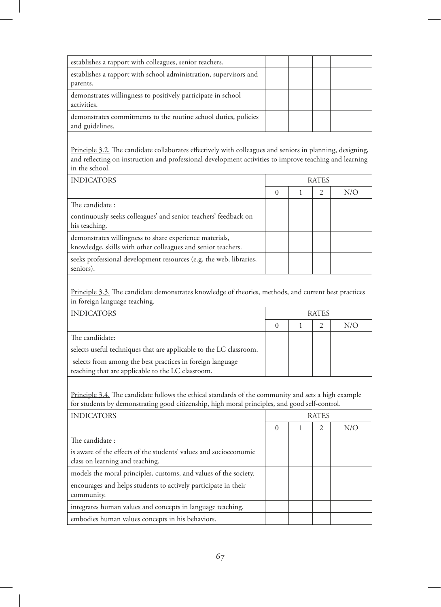| establishes a rapport with colleagues, senior teachers.                            |  |  |
|------------------------------------------------------------------------------------|--|--|
| establishes a rapport with school administration, supervisors and                  |  |  |
| parents.                                                                           |  |  |
| demonstrates willingness to positively participate in school<br>activities.        |  |  |
| demonstrates commitments to the routine school duties, policies<br>and guidelines. |  |  |

Principle 3.2. The candidate collaborates effectively with colleagues and seniors in planning, designing, and reflecting on instruction and professional development activities to improve teaching and learning in the school.

| <b>INDICATORS</b>                                                                                                       | <b>RATES</b> |  |   |     |
|-------------------------------------------------------------------------------------------------------------------------|--------------|--|---|-----|
|                                                                                                                         | $\Omega$     |  | 2 | N/O |
| The candidate:                                                                                                          |              |  |   |     |
| continuously seeks colleagues' and senior teachers' feedback on<br>his teaching.                                        |              |  |   |     |
| demonstrates willingness to share experience materials,<br>knowledge, skills with other colleagues and senior teachers. |              |  |   |     |
| seeks professional development resources (e.g. the web, libraries,<br>seniors).                                         |              |  |   |     |

Principle 3.3. The candidate demonstrates knowledge of theories, methods, and current best practices in foreign language teaching.

| <b>INDICATORS</b>                                                  | <b>RATES</b> |  |  |     |
|--------------------------------------------------------------------|--------------|--|--|-----|
|                                                                    |              |  |  | N/O |
| The candiidate:                                                    |              |  |  |     |
| selects useful techniques that are applicable to the LC classroom. |              |  |  |     |
| selects from among the best practices in foreign language          |              |  |  |     |
| teaching that are applicable to the LC classroom.                  |              |  |  |     |

Principle 3.4. The candidate follows the ethical standards of the community and sets a high example for students by demonstrating good citizenship, high moral principles, and good self-control.

| <b>INDICATORS</b>                                                                                    | RATES    |  |                |     |
|------------------------------------------------------------------------------------------------------|----------|--|----------------|-----|
|                                                                                                      | $\Omega$ |  | $\mathfrak{D}$ | N/C |
| The candidate:                                                                                       |          |  |                |     |
| is aware of the effects of the students' values and socioeconomic<br>class on learning and teaching. |          |  |                |     |
| models the moral principles, customs, and values of the society.                                     |          |  |                |     |
| encourages and helps students to actively participate in their<br>community.                         |          |  |                |     |
| integrates human values and concepts in language teaching.                                           |          |  |                |     |
| embodies human values concepts in his behaviors.                                                     |          |  |                |     |